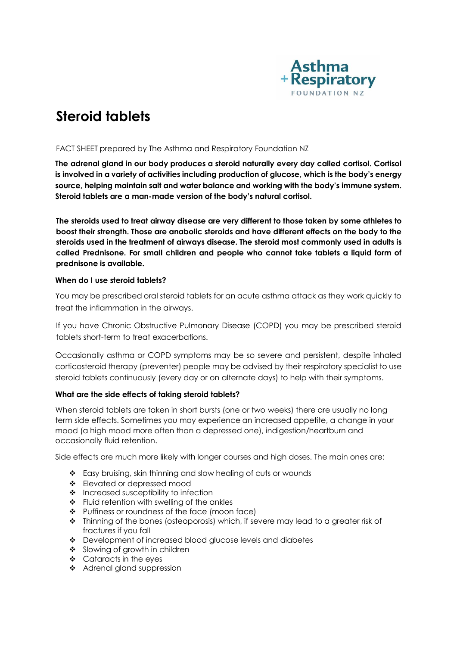

# **Steroid tablets**

# FACT SHEET prepared by The Asthma and Respiratory Foundation NZ

**The adrenal gland in our body produces a steroid naturally every day called cortisol. Cortisol is involved in a variety of activities including production of glucose, which is the body's energy source, helping maintain salt and water balance and working with the body's immune system. Steroid tablets are a man-made version of the body's natural cortisol.**

**The steroids used to treat airway disease are very different to those taken by some athletes to boost their strength. Those are anabolic steroids and have different effects on the body to the steroids used in the treatment of airways disease. The steroid most commonly used in adults is called Prednisone. For small children and people who cannot take tablets a liquid form of prednisone is available.**

# **When do I use steroid tablets?**

You may be prescribed oral steroid tablets for an acute asthma attack as they work quickly to treat the inflammation in the airways.

If you have Chronic Obstructive Pulmonary Disease (COPD) you may be prescribed steroid tablets short-term to treat exacerbations.

Occasionally asthma or COPD symptoms may be so severe and persistent, despite inhaled corticosteroid therapy (preventer) people may be advised by their respiratory specialist to use steroid tablets continuously (every day or on alternate days) to help with their symptoms.

# **What are the side effects of taking steroid tablets?**

When steroid tablets are taken in short bursts (one or two weeks) there are usually no long term side effects. Sometimes you may experience an increased appetite, a change in your mood (a high mood more often than a depressed one), indigestion/heartburn and occasionally fluid retention.

Side effects are much more likely with longer courses and high doses. The main ones are:

- \* Easy bruising, skin thinning and slow healing of cuts or wounds
- ❖ Elevated or depressed mood
- $\cdot$  Increased susceptibility to infection
- $\div$  Fluid retention with swelling of the ankles
- \* Puffiness or roundness of the face (moon face)
- Thinning of the bones (osteoporosis) which, if severe may lead to a greater risk of fractures if you fall
- Development of increased blood glucose levels and diabetes
- Slowing of growth in children
- $\div$  Cataracts in the eyes
- ❖ Adrenal gland suppression